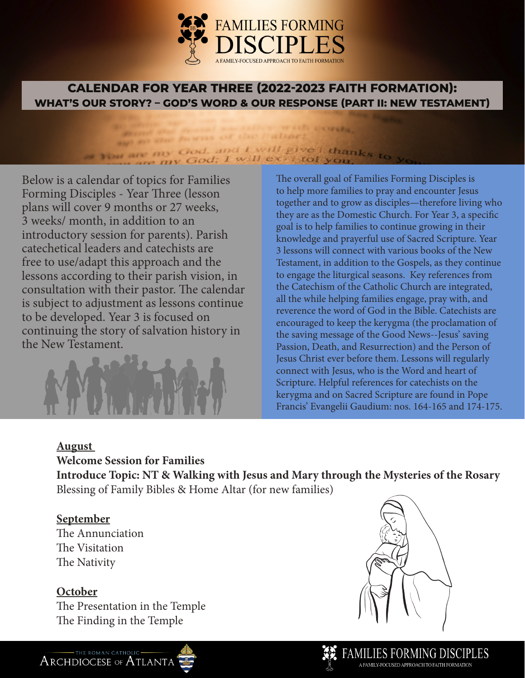

## **CALENDAR FOR YEAR THREE (2022-2023 FAITH FORMATION): WHAT'S OUR STORY? – GOD'S WORD & OUR RESPONSE (PART II: NEW TESTAMENT)**

**CALLINE** 

THE STORES

#### and any other forwards of the when are my God, and I will give I thanks to in my God; I will ex- I tol y.

Below is a calendar of topics for Families Forming Disciples - Year Three (lesson plans will cover 9 months or 27 weeks, 3 weeks/ month, in addition to an introductory session for parents). Parish catechetical leaders and catechists are free to use/adapt this approach and the lessons according to their parish vision, in consultation with their pastor. The calendar is subject to adjustment as lessons continue to be developed. Year 3 is focused on continuing the story of salvation history in the New Testament.



The overall goal of Families Forming Disciples is to help more families to pray and encounter Jesus together and to grow as disciples—therefore living who they are as the Domestic Church. For Year 3, a specific goal is to help families to continue growing in their knowledge and prayerful use of Sacred Scripture. Year 3 lessons will connect with various books of the New Testament, in addition to the Gospels, as they continue to engage the liturgical seasons. Key references from the Catechism of the Catholic Church are integrated, all the while helping families engage, pray with, and reverence the word of God in the Bible. Catechists are encouraged to keep the kerygma (the proclamation of the saving message of the Good News--Jesus' saving Passion, Death, and Resurrection) and the Person of Jesus Christ ever before them. Lessons will regularly connect with Jesus, who is the Word and heart of Scripture. Helpful references for catechists on the kerygma and on Sacred Scripture are found in Pope Francis' Evangelii Gaudium: nos. 164-165 and 174-175.

#### **August**

**Welcome Session for Families** 

**Introduce Topic: NT & Walking with Jesus and Mary through the Mysteries of the Rosary** Blessing of Family Bibles & Home Altar (for new families)

### **September**

The Annunciation The Visitation The Nativity

### **October**

The Presentation in the Temple The Finding in the Temple